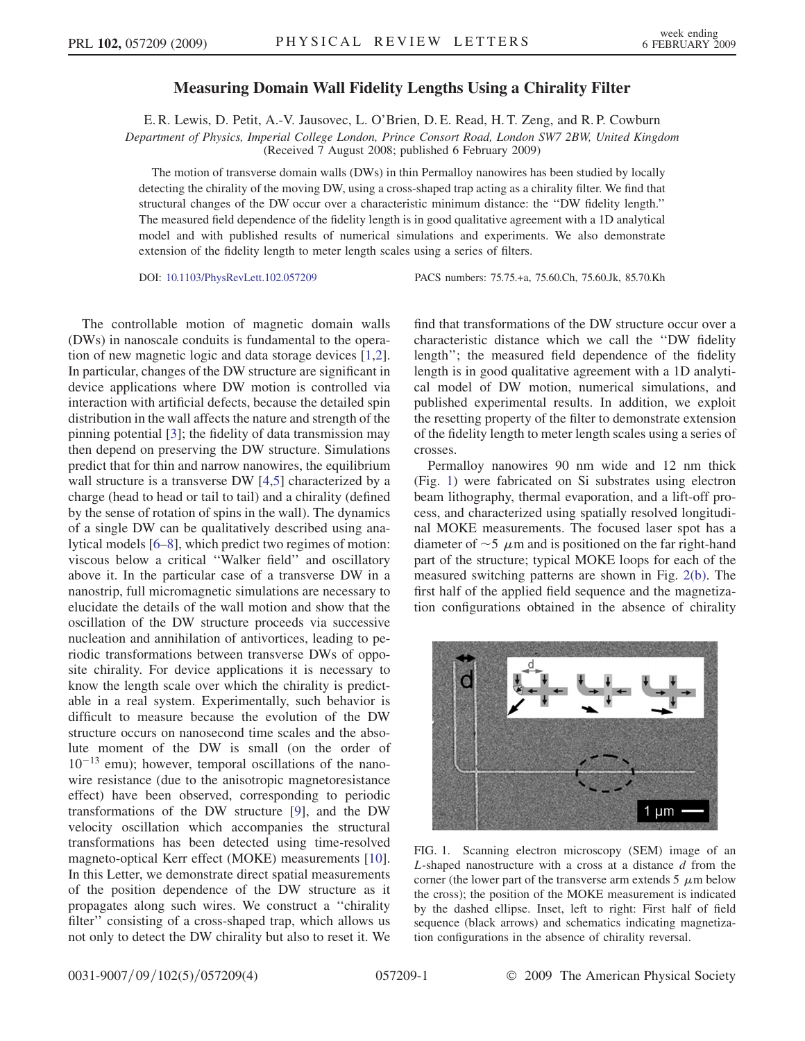## Measuring Domain Wall Fidelity Lengths Using a Chirality Filter

E. R. Lewis, D. Petit, A.-V. Jausovec, L. O'Brien, D. E. Read, H. T. Zeng, and R. P. Cowburn

<span id="page-0-0"></span>Department of Physics, Imperial College London, Prince Consort Road, London SW7 2BW, United Kingdom (Received 7 August 2008; published 6 February 2009)

The motion of transverse domain walls (DWs) in thin Permalloy nanowires has been studied by locally detecting the chirality of the moving DW, using a cross-shaped trap acting as a chirality filter. We find that structural changes of the DW occur over a characteristic minimum distance: the ''DW fidelity length.'' The measured field dependence of the fidelity length is in good qualitative agreement with a 1D analytical model and with published results of numerical simulations and experiments. We also demonstrate

extension of the fidelity length to meter length scales using a series of filters.

DOI: [10.1103/PhysRevLett.102.057209](http://dx.doi.org/10.1103/PhysRevLett.102.057209) PACS numbers: 75.75.+a, 75.60.Ch, 75.60.Jk, 85.70.Kh

The controllable motion of magnetic domain walls (DWs) in nanoscale conduits is fundamental to the operation of new magnetic logic and data storage devices [1,2]. In particular, changes of the DW structure are significant in device applications where DW motion is controlled via interaction with artificial defects, because the detailed spin distribution in the wall affects the nature and strength of the pinning potential [3]; the fidelity of data transmission may then depend on preserving the DW structure. Simulations predict that for thin and narrow nanowires, the equilibrium wall structure is a transverse DW [4,5] characterized by a charge (head to head or tail to tail) and a chirality (defined by the sense of rotation of spins in the wall). The dynamics of a single DW can be qualitatively described using analytical models [6–8], which predict two regimes of motion: viscous below a critical ''Walker field'' and oscillatory above it. In the particular case of a transverse DW in a nanostrip, full micromagnetic simulations are necessary to elucidate the details of the wall motion and show that the oscillation of the DW structure proceeds via successive nucleation and annihilation of antivortices, leading to periodic transformations between transverse DWs of opposite chirality. For device applications it is necessary to know the length scale over which the chirality is predictable in a real system. Experimentally, such behavior is difficult to measure because the evolution of the DW structure occurs on nanosecond time scales and the absolute moment of the DW is small (on the order of  $10^{-13}$  emu); however, temporal oscillations of the nanowire resistance (due to the anisotropic magnetoresistance effect) have been observed, corresponding to periodic transformations of the DW structure [9], and the DW velocity oscillation which accompanies the structural transformations has been detected using time-resolved magneto-optical Kerr effect (MOKE) measurements [10]. In this Letter, we demonstrate direct spatial measurements of the position dependence of the DW structure as it propagates along such wires. We construct a ''chirality filter'' consisting of a cross-shaped trap, which allows us not only to detect the DW chirality but also to reset it. We

find that transformations of the DW structure occur over a characteristic distance which we call the ''DW fidelity length''; the measured field dependence of the fidelity length is in good qualitative agreement with a 1D analytical model of DW motion, numerical simulations, and published experimental results. In addition, we exploit the resetting property of the filter to demonstrate extension of the fidelity length to meter length scales using a series of crosses.

Permalloy nanowires 90 nm wide and 12 nm thick (Fig. 1) were fabricated on Si substrates using electron beam lithography, thermal evaporation, and a lift-off process, and characterized using spatially resolved longitudinal MOKE measurements. The focused laser spot has a diameter of  $\sim$  5  $\,\mu$ m and is positioned on the far right-hand part of the structure; typical MOKE loops for each of the measured switching patterns are shown in Fig. [2\(b\)](#page-1-0). The first half of the applied field sequence and the magnetization configurations obtained in the absence of chirality



FIG. 1. Scanning electron microscopy (SEM) image of an  $L$ -shaped nanostructure with a cross at a distance  $d$  from the corner (the lower part of the transverse arm extends  $5 \mu m$  below the cross); the position of the MOKE measurement is indicated by the dashed ellipse. Inset, left to right: First half of field sequence (black arrows) and schematics indicating magnetization configurations in the absence of chirality reversal.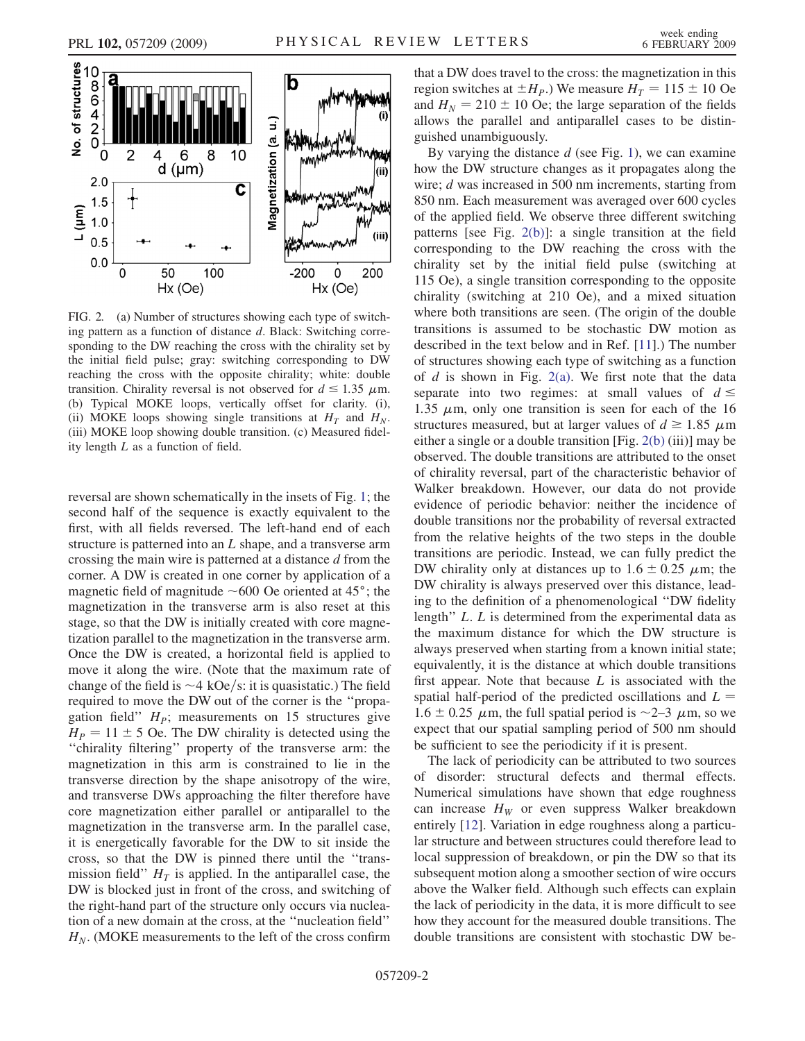

<span id="page-1-0"></span>

FIG. 2. (a) Number of structures showing each type of switching pattern as a function of distance d. Black: Switching corresponding to the DW reaching the cross with the chirality set by the initial field pulse; gray: switching corresponding to DW reaching the cross with the opposite chirality; white: double transition. Chirality reversal is not observed for  $d \le 1.35 \mu$ m. (b) Typical MOKE loops, vertically offset for clarity. (i), (ii) MOKE loops showing single transitions at  $H_T$  and  $H_N$ . (iii) MOKE loop showing double transition. (c) Measured fidelity length L as a function of field.

reversal are shown schematically in the insets of Fig. [1;](#page-0-0) the second half of the sequence is exactly equivalent to the first, with all fields reversed. The left-hand end of each structure is patterned into an L shape, and a transverse arm crossing the main wire is patterned at a distance  $d$  from the corner. A DW is created in one corner by application of a magnetic field of magnitude  $\sim 600$  Oe oriented at 45°; the magnetization in the transverse arm is also reset at this stage, so that the DW is initially created with core magnetization parallel to the magnetization in the transverse arm. Once the DW is created, a horizontal field is applied to move it along the wire. (Note that the maximum rate of change of the field is  $\sim$ 4 kOe/s: it is quasistatic.) The field required to move the DW out of the corner is the ''propagation field"  $H<sub>P</sub>$ ; measurements on 15 structures give  $H<sub>P</sub> = 11 \pm 5$  Oe. The DW chirality is detected using the ''chirality filtering'' property of the transverse arm: the magnetization in this arm is constrained to lie in the transverse direction by the shape anisotropy of the wire, and transverse DWs approaching the filter therefore have core magnetization either parallel or antiparallel to the magnetization in the transverse arm. In the parallel case, it is energetically favorable for the DW to sit inside the cross, so that the DW is pinned there until the ''transmission field"  $H_T$  is applied. In the antiparallel case, the DW is blocked just in front of the cross, and switching of the right-hand part of the structure only occurs via nucleation of a new domain at the cross, at the ''nucleation field''  $H_N$ . (MOKE measurements to the left of the cross confirm that a DW does travel to the cross: the magnetization in this region switches at  $\pm H_p$ .) We measure  $H_T = 115 \pm 10$  Oe and  $H_N = 210 \pm 10$  Oe; the large separation of the fields allows the parallel and antiparallel cases to be distinguished unambiguously.

By varying the distance  $d$  (see Fig. [1\)](#page-0-0), we can examine how the DW structure changes as it propagates along the wire; *d* was increased in 500 nm increments, starting from 850 nm. Each measurement was averaged over 600 cycles of the applied field. We observe three different switching patterns [see Fig. 2(b)]: a single transition at the field corresponding to the DW reaching the cross with the chirality set by the initial field pulse (switching at 115 Oe), a single transition corresponding to the opposite chirality (switching at 210 Oe), and a mixed situation where both transitions are seen. (The origin of the double transitions is assumed to be stochastic DW motion as described in the text below and in Ref. [11].) The number of structures showing each type of switching as a function of  $d$  is shown in Fig. 2(a). We first note that the data separate into two regimes: at small values of  $d \leq$ 1.35  $\mu$ m, only one transition is seen for each of the 16 structures measured, but at larger values of  $d \ge 1.85 \mu m$ either a single or a double transition [Fig. 2(b) (iii)] may be observed. The double transitions are attributed to the onset of chirality reversal, part of the characteristic behavior of Walker breakdown. However, our data do not provide evidence of periodic behavior: neither the incidence of double transitions nor the probability of reversal extracted from the relative heights of the two steps in the double transitions are periodic. Instead, we can fully predict the DW chirality only at distances up to  $1.6 \pm 0.25$   $\mu$ m; the DW chirality is always preserved over this distance, leading to the definition of a phenomenological ''DW fidelity length'' L. L is determined from the experimental data as the maximum distance for which the DW structure is always preserved when starting from a known initial state; equivalently, it is the distance at which double transitions first appear. Note that because  $L$  is associated with the spatial half-period of the predicted oscillations and  $L =$  $1.6 \pm 0.25 \mu$ m, the full spatial period is ~2-3  $\mu$ m, so we expect that our spatial sampling period of 500 nm should be sufficient to see the periodicity if it is present.

The lack of periodicity can be attributed to two sources of disorder: structural defects and thermal effects. Numerical simulations have shown that edge roughness can increase  $H_W$  or even suppress Walker breakdown entirely [12]. Variation in edge roughness along a particular structure and between structures could therefore lead to local suppression of breakdown, or pin the DW so that its subsequent motion along a smoother section of wire occurs above the Walker field. Although such effects can explain the lack of periodicity in the data, it is more difficult to see how they account for the measured double transitions. The double transitions are consistent with stochastic DW be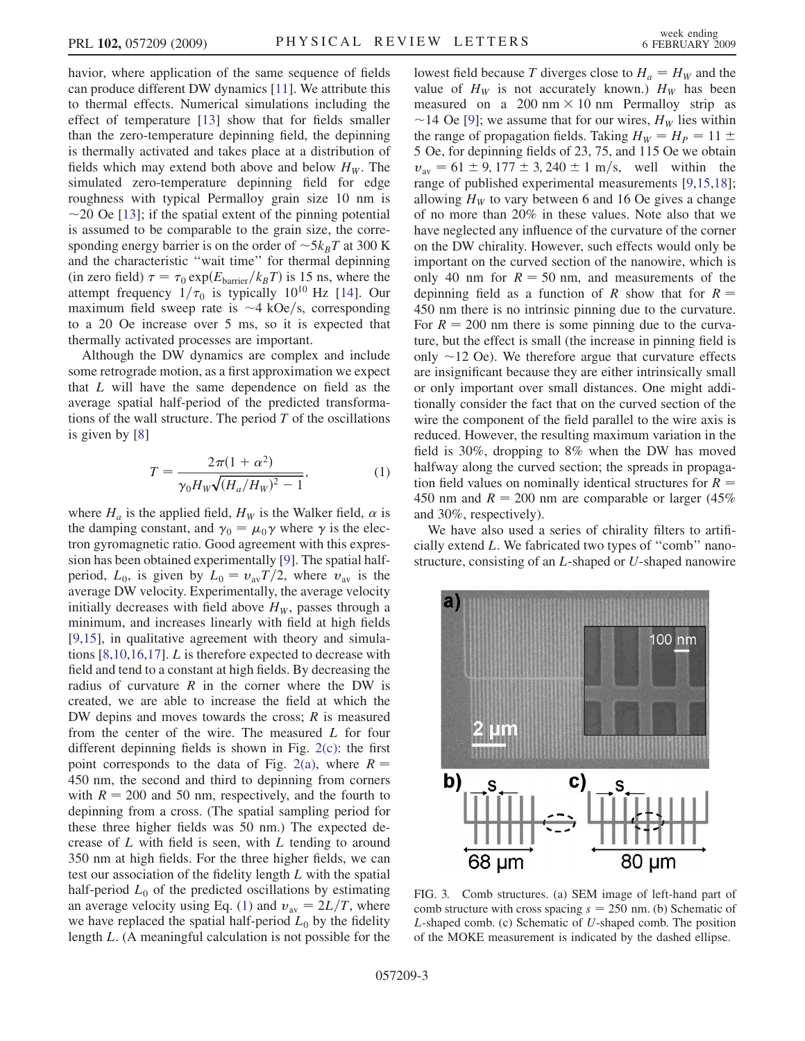<span id="page-2-1"></span>havior, where application of the same sequence of fields can produce different DW dynamics [11]. We attribute this to thermal effects. Numerical simulations including the effect of temperature [13] show that for fields smaller than the zero-temperature depinning field, the depinning is thermally activated and takes place at a distribution of fields which may extend both above and below  $H_W$ . The simulated zero-temperature depinning field for edge roughness with typical Permalloy grain size 10 nm is  $\sim$  20 Oe [13]; if the spatial extent of the pinning potential is assumed to be comparable to the grain size, the corresponding energy barrier is on the order of  $\sim 5k_BT$  at 300 K and the characteristic "wait time" for thermal depinning (in zero field)  $\tau = \tau_0 \exp(E_{barrier}/k_B T)$  is 15 ns, where the attempt frequency  $1/\tau_0$  is typically 10<sup>10</sup> Hz [14]. Our maximum field sweep rate is  $\sim$  4 kOe/s, corresponding to a 20 Oe increase over 5 ms, so it is expected that thermally activated processes are important.

Although the DW dynamics are complex and include some retrograde motion, as a first approximation we expect that L will have the same dependence on field as the average spatial half-period of the predicted transformations of the wall structure. The period  $T$  of the oscillations is given by [8]

$$
T = \frac{2\pi(1 + \alpha^2)}{\gamma_0 H_W \sqrt{(H_a/H_W)^2 - 1}},
$$
 (1)

<span id="page-2-0"></span>where  $H_a$  is the applied field,  $H_W$  is the Walker field,  $\alpha$  is the damping constant, and  $\gamma_0 = \mu_0 \gamma$  where  $\gamma$  is the electron gyromagnetic ratio. Good agreement with this expression has been obtained experimentally [9]. The spatial halfperiod,  $L_0$ , is given by  $L_0 = v_{av}T/2$ , where  $v_{av}$  is the average DW velocity. Experimentally, the average velocity initially decreases with field above  $H_W$ , passes through a minimum, and increases linearly with field at high fields [9,15], in qualitative agreement with theory and simulations [8,10,16,17]. L is therefore expected to decrease with field and tend to a constant at high fields. By decreasing the radius of curvature  $R$  in the corner where the DW is created, we are able to increase the field at which the DW depins and moves towards the cross;  $R$  is measured from the center of the wire. The measured L for four different depinning fields is shown in Fig. [2\(c\):](#page-1-0) the first point corresponds to the data of Fig. [2\(a\)](#page-1-0), where  $R =$ 450 nm, the second and third to depinning from corners with  $R = 200$  and 50 nm, respectively, and the fourth to depinning from a cross. (The spatial sampling period for these three higher fields was 50 nm.) The expected decrease of L with field is seen, with L tending to around 350 nm at high fields. For the three higher fields, we can test our association of the fidelity length L with the spatial half-period  $L_0$  of the predicted oscillations by estimating an average velocity using Eq. ([1\)](#page-2-0) and  $v_{\text{av}} = 2L/T$ , where we have replaced the spatial half-period  $L_0$  by the fidelity length L. (A meaningful calculation is not possible for the lowest field because T diverges close to  $H_a = H_W$  and the value of  $H_W$  is not accurately known.)  $H_W$  has been measured on a 200 nm  $\times$  10 nm Permalloy strip as ~14 Oe [9]; we assume that for our wires,  $H_W$  lies within the range of propagation fields. Taking  $H_W = H_P = 11 \pm$ 5 Oe, for depinning fields of 23, 75, and 115 Oe we obtain  $v_{\text{av}} = 61 \pm 9$ , 177  $\pm$  3, 240  $\pm$  1 m/s, well within the range of published experimental measurements [9,15,18]; allowing  $H_W$  to vary between 6 and 16 Oe gives a change of no more than 20% in these values. Note also that we have neglected any influence of the curvature of the corner on the DW chirality. However, such effects would only be important on the curved section of the nanowire, which is only 40 nm for  $R = 50$  nm, and measurements of the depinning field as a function of R show that for  $R =$ 450 nm there is no intrinsic pinning due to the curvature. For  $R = 200$  nm there is some pinning due to the curvature, but the effect is small (the increase in pinning field is only  $\sim$ 12 Oe). We therefore argue that curvature effects are insignificant because they are either intrinsically small or only important over small distances. One might additionally consider the fact that on the curved section of the wire the component of the field parallel to the wire axis is reduced. However, the resulting maximum variation in the field is 30%, dropping to 8% when the DW has moved halfway along the curved section; the spreads in propagation field values on nominally identical structures for  $R =$ 450 nm and  $R = 200$  nm are comparable or larger (45%) and 30%, respectively).

We have also used a series of chirality filters to artificially extend L. We fabricated two types of ''comb'' nanostructure, consisting of an L-shaped or U-shaped nanowire



FIG. 3. Comb structures. (a) SEM image of left-hand part of comb structure with cross spacing  $s = 250$  nm. (b) Schematic of L-shaped comb. (c) Schematic of U-shaped comb. The position of the MOKE measurement is indicated by the dashed ellipse.